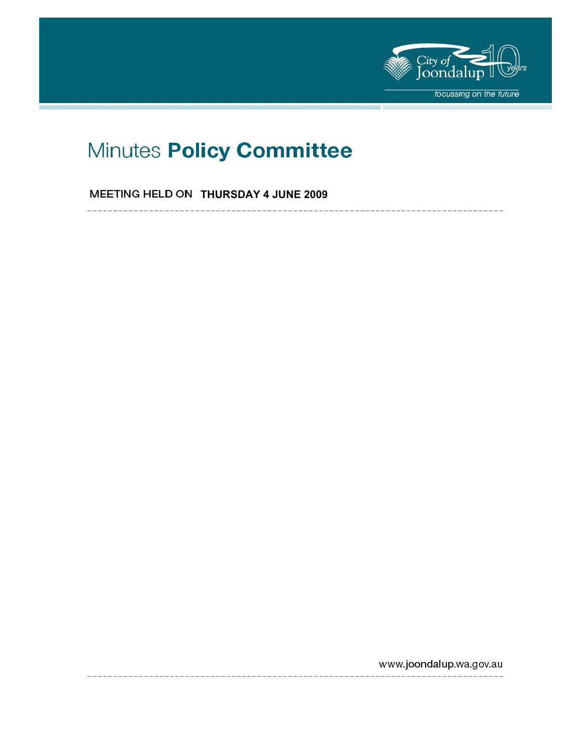

----------------

# Minutes Policy Committee

**MEETING HELD ON THURSDAY 4 JUNE 2009** 

www.joondalup.wa.gov.au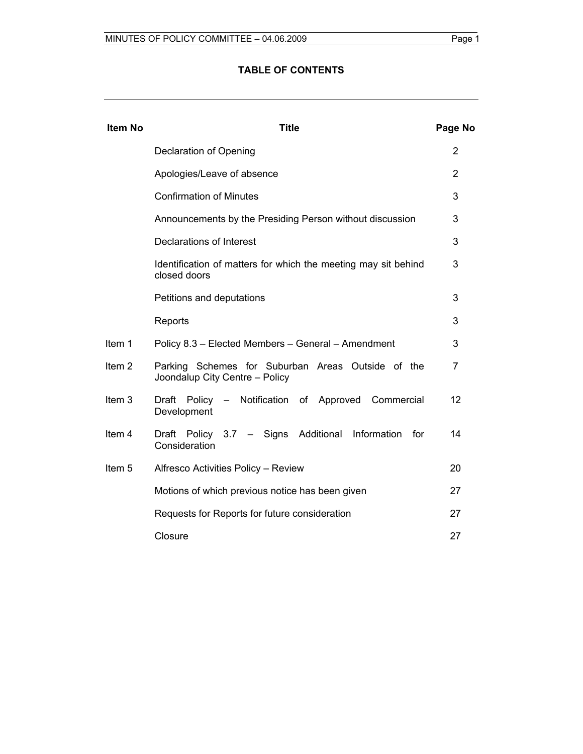# **TABLE OF CONTENTS**

| <b>Item No</b>    | <b>Title</b>                                                                        |    |  |  |  |  |
|-------------------|-------------------------------------------------------------------------------------|----|--|--|--|--|
|                   | Declaration of Opening                                                              |    |  |  |  |  |
|                   | Apologies/Leave of absence                                                          | 2  |  |  |  |  |
|                   | <b>Confirmation of Minutes</b>                                                      | 3  |  |  |  |  |
|                   | Announcements by the Presiding Person without discussion                            | 3  |  |  |  |  |
|                   | Declarations of Interest                                                            | 3  |  |  |  |  |
|                   | Identification of matters for which the meeting may sit behind<br>closed doors      |    |  |  |  |  |
|                   | Petitions and deputations                                                           | 3  |  |  |  |  |
|                   | Reports                                                                             | 3  |  |  |  |  |
| Item 1            | Policy 8.3 - Elected Members - General - Amendment                                  | 3  |  |  |  |  |
| Item <sub>2</sub> | Parking Schemes for Suburban Areas Outside of the<br>Joondalup City Centre - Policy | 7  |  |  |  |  |
| Item <sub>3</sub> | Policy - Notification of Approved Commercial<br>Draft<br>Development                | 12 |  |  |  |  |
| Item 4            | Draft Policy 3.7 - Signs Additional Information<br>for<br>Consideration             | 14 |  |  |  |  |
| Item <sub>5</sub> | Alfresco Activities Policy - Review                                                 | 20 |  |  |  |  |
|                   | Motions of which previous notice has been given                                     | 27 |  |  |  |  |
|                   | Requests for Reports for future consideration                                       | 27 |  |  |  |  |
|                   | Closure                                                                             | 27 |  |  |  |  |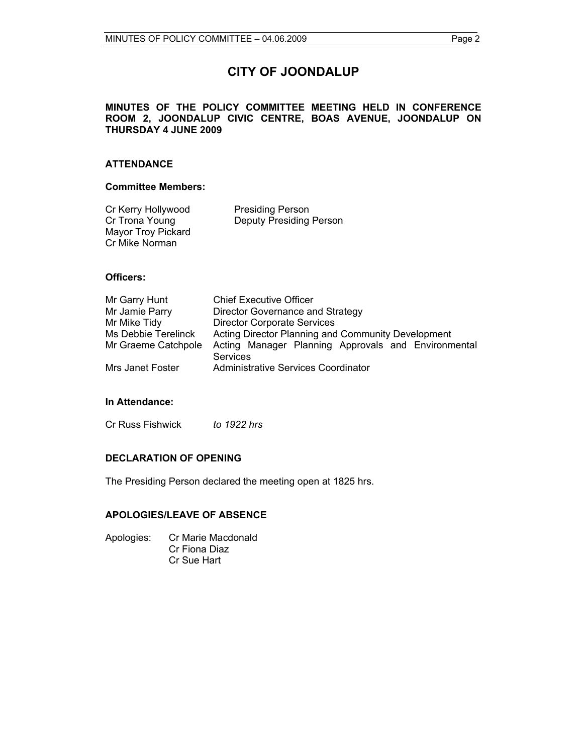# **CITY OF JOONDALUP**

#### **MINUTES OF THE POLICY COMMITTEE MEETING HELD IN CONFERENCE ROOM 2, JOONDALUP CIVIC CENTRE, BOAS AVENUE, JOONDALUP ON THURSDAY 4 JUNE 2009**

#### **ATTENDANCE**

#### **Committee Members:**

| Cr Kerry Hollywood        | <b>Presiding Person</b>        |
|---------------------------|--------------------------------|
| Cr Trona Young            | <b>Deputy Presiding Person</b> |
| <b>Mayor Troy Pickard</b> |                                |
| Cr Mike Norman            |                                |

#### **Officers:**

| Mr Garry Hunt       | <b>Chief Executive Officer</b>                                         |  |  |  |
|---------------------|------------------------------------------------------------------------|--|--|--|
| Mr Jamie Parry      | Director Governance and Strategy                                       |  |  |  |
| Mr Mike Tidy        | <b>Director Corporate Services</b>                                     |  |  |  |
| Ms Debbie Terelinck | Acting Director Planning and Community Development                     |  |  |  |
| Mr Graeme Catchpole | Acting Manager Planning Approvals and Environmental<br><b>Services</b> |  |  |  |
| Mrs Janet Foster    | Administrative Services Coordinator                                    |  |  |  |

#### **In Attendance:**

Cr Russ Fishwick *to 1922 hrs* 

#### **DECLARATION OF OPENING**

The Presiding Person declared the meeting open at 1825 hrs.

### **APOLOGIES/LEAVE OF ABSENCE**

Apologies: Cr Marie Macdonald Cr Fiona Diaz Cr Sue Hart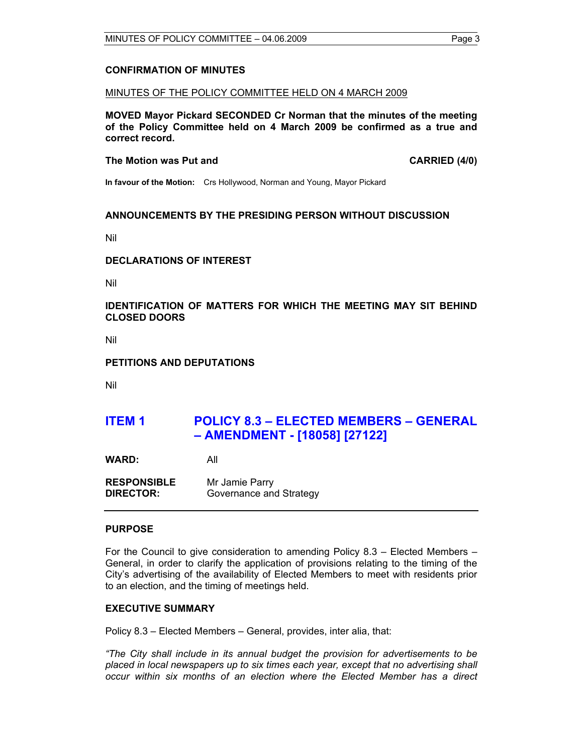#### **CONFIRMATION OF MINUTES**

#### MINUTES OF THE POLICY COMMITTEE HELD ON 4 MARCH 2009

**MOVED Mayor Pickard SECONDED Cr Norman that the minutes of the meeting of the Policy Committee held on 4 March 2009 be confirmed as a true and correct record.** 

#### **The Motion was Put and CARRIED (4/0) CARRIED (4/0)**

**In favour of the Motion:** Crs Hollywood, Norman and Young, Mayor Pickard

#### **ANNOUNCEMENTS BY THE PRESIDING PERSON WITHOUT DISCUSSION**

Nil

#### **DECLARATIONS OF INTEREST**

Nil

#### **IDENTIFICATION OF MATTERS FOR WHICH THE MEETING MAY SIT BEHIND CLOSED DOORS**

Nil

#### **PETITIONS AND DEPUTATIONS**

Nil

# **ITEM 1 POLICY 8.3 – ELECTED MEMBERS – GENERAL – AMENDMENT - [18058] [27122]**

**WARD:** All

**RESPONSIBLE** Mr Jamie Parry **DIRECTOR:** Governance and Strategy

#### **PURPOSE**

For the Council to give consideration to amending Policy 8.3 – Elected Members – General, in order to clarify the application of provisions relating to the timing of the City's advertising of the availability of Elected Members to meet with residents prior to an election, and the timing of meetings held.

#### **EXECUTIVE SUMMARY**

Policy 8.3 – Elected Members – General, provides, inter alia, that:

*"The City shall include in its annual budget the provision for advertisements to be placed in local newspapers up to six times each year, except that no advertising shall occur within six months of an election where the Elected Member has a direct*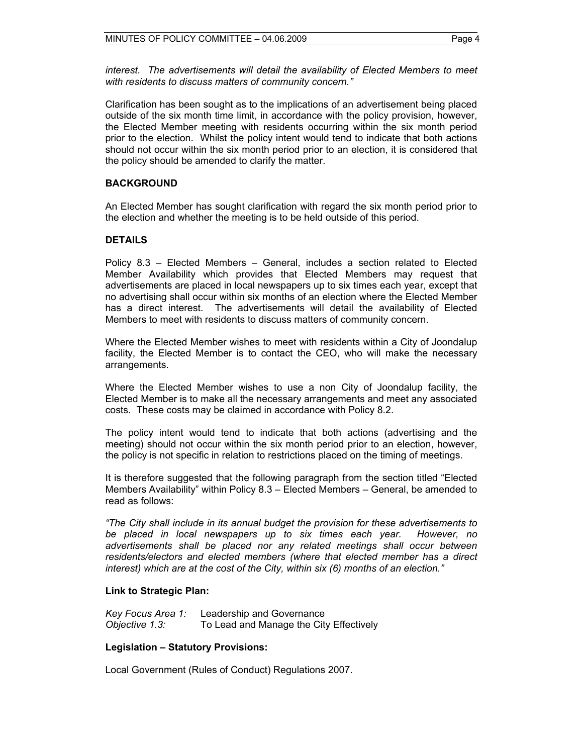*interest. The advertisements will detail the availability of Elected Members to meet with residents to discuss matters of community concern."* 

Clarification has been sought as to the implications of an advertisement being placed outside of the six month time limit, in accordance with the policy provision, however, the Elected Member meeting with residents occurring within the six month period prior to the election. Whilst the policy intent would tend to indicate that both actions should not occur within the six month period prior to an election, it is considered that the policy should be amended to clarify the matter.

### **BACKGROUND**

An Elected Member has sought clarification with regard the six month period prior to the election and whether the meeting is to be held outside of this period.

#### **DETAILS**

Policy 8.3 – Elected Members – General, includes a section related to Elected Member Availability which provides that Elected Members may request that advertisements are placed in local newspapers up to six times each year, except that no advertising shall occur within six months of an election where the Elected Member has a direct interest. The advertisements will detail the availability of Elected Members to meet with residents to discuss matters of community concern.

Where the Elected Member wishes to meet with residents within a City of Joondalup facility, the Elected Member is to contact the CEO, who will make the necessary arrangements.

Where the Elected Member wishes to use a non City of Joondalup facility, the Elected Member is to make all the necessary arrangements and meet any associated costs. These costs may be claimed in accordance with Policy 8.2.

The policy intent would tend to indicate that both actions (advertising and the meeting) should not occur within the six month period prior to an election, however, the policy is not specific in relation to restrictions placed on the timing of meetings.

It is therefore suggested that the following paragraph from the section titled "Elected Members Availability" within Policy 8.3 – Elected Members – General, be amended to read as follows:

*"The City shall include in its annual budget the provision for these advertisements to be placed in local newspapers up to six times each year. However, no advertisements shall be placed nor any related meetings shall occur between residents/electors and elected members (where that elected member has a direct interest) which are at the cost of the City, within six (6) months of an election."* 

#### **Link to Strategic Plan:**

*Key Focus Area 1:* Leadership and Governance *Objective 1.3:* To Lead and Manage the City Effectively

#### **Legislation – Statutory Provisions:**

Local Government (Rules of Conduct) Regulations 2007.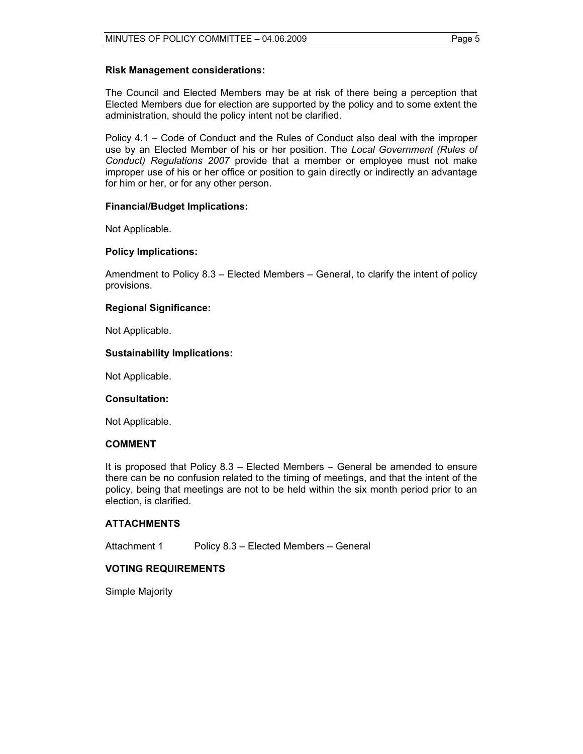#### **Risk Management considerations:**

The Council and Elected Members may be at risk of there being a perception that Elected Members due for election are supported by the policy and to some extent the administration, should the policy intent not be clarified.

Policy 4.1 – Code of Conduct and the Rules of Conduct also deal with the improper use by an Elected Member of his or her position. The *Local Government (Rules of Conduct) Regulations 2007* provide that a member or employee must not make improper use of his or her office or position to gain directly or indirectly an advantage for him or her, or for any other person.

#### **Financial/Budget Implications:**

Not Applicable.

#### **Policy Implications:**

Amendment to Policy 8.3 – Elected Members – General, to clarify the intent of policy provisions.

#### **Regional Significance:**

Not Applicable.

#### **Sustainability Implications:**

Not Applicable.

#### **Consultation:**

Not Applicable.

#### **COMMENT**

It is proposed that Policy 8.3 – Elected Members – General be amended to ensure there can be no confusion related to the timing of meetings, and that the intent of the policy, being that meetings are not to be held within the six month period prior to an election, is clarified.

#### **ATTACHMENTS**

Attachment 1 Policy 8.3 – Elected Members – General

#### **VOTING REQUIREMENTS**

Simple Majority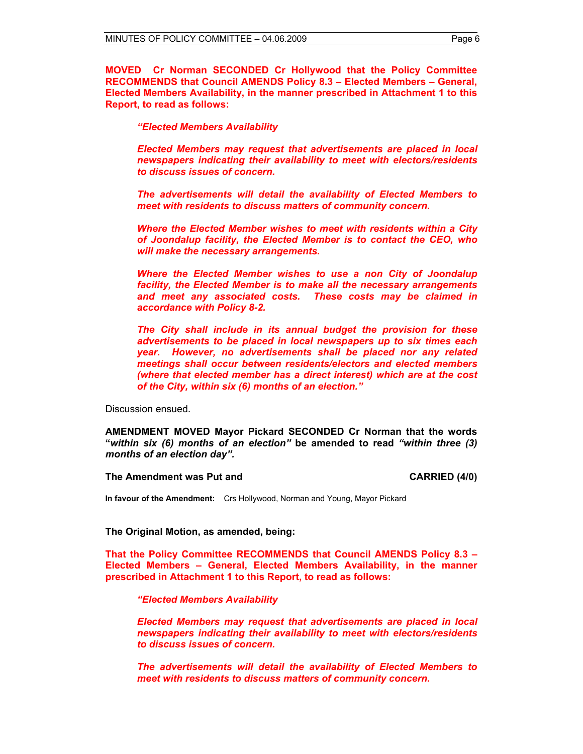**MOVED Cr Norman SECONDED Cr Hollywood that the Policy Committee RECOMMENDS that Council AMENDS Policy 8.3 – Elected Members – General, Elected Members Availability, in the manner prescribed in Attachment 1 to this Report, to read as follows:** 

#### *"Elected Members Availability*

*Elected Members may request that advertisements are placed in local newspapers indicating their availability to meet with electors/residents to discuss issues of concern.* 

*The advertisements will detail the availability of Elected Members to meet with residents to discuss matters of community concern.* 

*Where the Elected Member wishes to meet with residents within a City of Joondalup facility, the Elected Member is to contact the CEO, who will make the necessary arrangements.* 

*Where the Elected Member wishes to use a non City of Joondalup facility, the Elected Member is to make all the necessary arrangements and meet any associated costs. These costs may be claimed in accordance with Policy 8-2.* 

*The City shall include in its annual budget the provision for these advertisements to be placed in local newspapers up to six times each year. However, no advertisements shall be placed nor any related meetings shall occur between residents/electors and elected members (where that elected member has a direct interest) which are at the cost of the City, within six (6) months of an election."* 

Discussion ensued.

**AMENDMENT MOVED Mayor Pickard SECONDED Cr Norman that the words "***within six (6) months of an election"* **be amended to read** *"within three (3) months of an election day".* 

#### **The Amendment was Put and CARRIED (4/0) CARRIED (4/0)**

**In favour of the Amendment:** Crs Hollywood, Norman and Young, Mayor Pickard

#### **The Original Motion, as amended, being:**

**That the Policy Committee RECOMMENDS that Council AMENDS Policy 8.3 – Elected Members – General, Elected Members Availability, in the manner prescribed in Attachment 1 to this Report, to read as follows:** 

*"Elected Members Availability* 

*Elected Members may request that advertisements are placed in local newspapers indicating their availability to meet with electors/residents to discuss issues of concern.* 

*The advertisements will detail the availability of Elected Members to meet with residents to discuss matters of community concern.*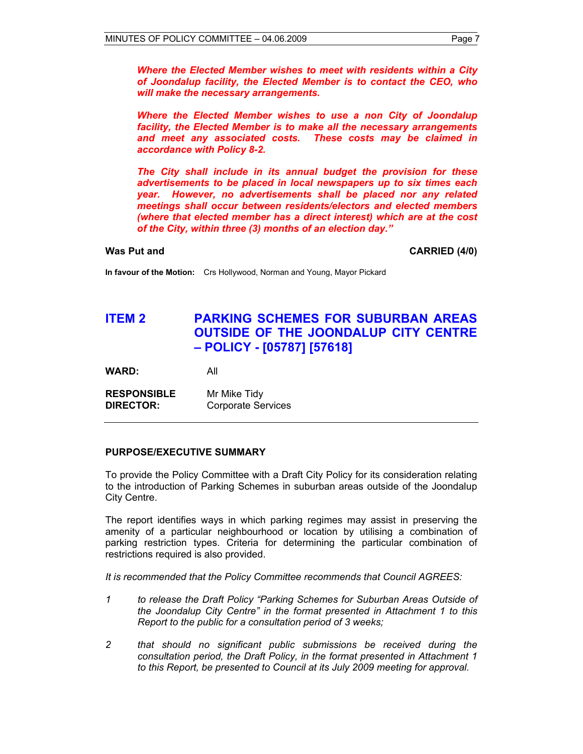*Where the Elected Member wishes to meet with residents within a City of Joondalup facility, the Elected Member is to contact the CEO, who will make the necessary arrangements.* 

*Where the Elected Member wishes to use a non City of Joondalup facility, the Elected Member is to make all the necessary arrangements and meet any associated costs. These costs may be claimed in accordance with Policy 8-2.* 

*The City shall include in its annual budget the provision for these advertisements to be placed in local newspapers up to six times each year. However, no advertisements shall be placed nor any related meetings shall occur between residents/electors and elected members (where that elected member has a direct interest) which are at the cost of the City, within three (3) months of an election day."* 

**Was Put and CARRIED (4/0) CARRIED (4/0)** 

**In favour of the Motion:** Crs Hollywood, Norman and Young, Mayor Pickard

# **ITEM 2 PARKING SCHEMES FOR SUBURBAN AREAS OUTSIDE OF THE JOONDALUP CITY CENTRE – POLICY - [05787] [57618]**

**WARD:** All

**RESPONSIBLE** Mr Mike Tidy **DIRECTOR:** Corporate Services

#### **PURPOSE/EXECUTIVE SUMMARY**

To provide the Policy Committee with a Draft City Policy for its consideration relating to the introduction of Parking Schemes in suburban areas outside of the Joondalup City Centre.

The report identifies ways in which parking regimes may assist in preserving the amenity of a particular neighbourhood or location by utilising a combination of parking restriction types. Criteria for determining the particular combination of restrictions required is also provided.

*It is recommended that the Policy Committee recommends that Council AGREES:* 

- *1 to release the Draft Policy "Parking Schemes for Suburban Areas Outside of the Joondalup City Centre" in the format presented in Attachment 1 to this Report to the public for a consultation period of 3 weeks;*
- *2 that should no significant public submissions be received during the consultation period, the Draft Policy, in the format presented in Attachment 1 to this Report, be presented to Council at its July 2009 meeting for approval.*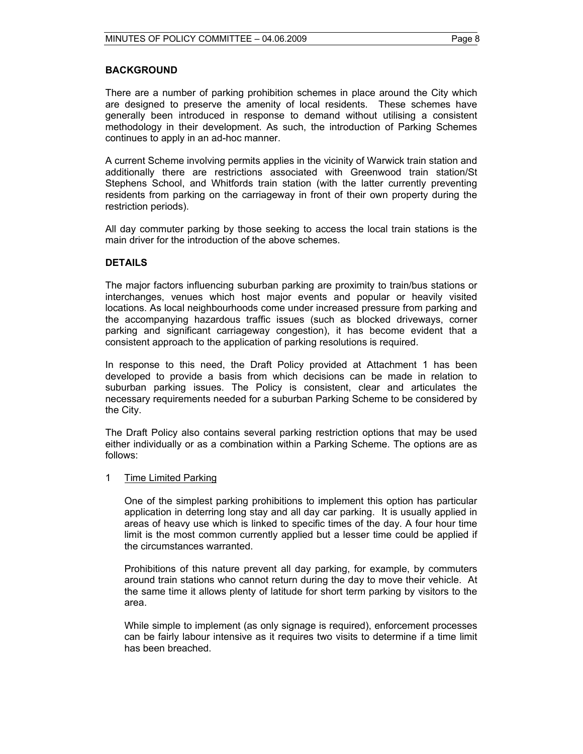#### **BACKGROUND**

There are a number of parking prohibition schemes in place around the City which are designed to preserve the amenity of local residents. These schemes have generally been introduced in response to demand without utilising a consistent methodology in their development. As such, the introduction of Parking Schemes continues to apply in an ad-hoc manner.

A current Scheme involving permits applies in the vicinity of Warwick train station and additionally there are restrictions associated with Greenwood train station/St Stephens School, and Whitfords train station (with the latter currently preventing residents from parking on the carriageway in front of their own property during the restriction periods).

All day commuter parking by those seeking to access the local train stations is the main driver for the introduction of the above schemes.

#### **DETAILS**

The major factors influencing suburban parking are proximity to train/bus stations or interchanges, venues which host major events and popular or heavily visited locations. As local neighbourhoods come under increased pressure from parking and the accompanying hazardous traffic issues (such as blocked driveways, corner parking and significant carriageway congestion), it has become evident that a consistent approach to the application of parking resolutions is required.

In response to this need, the Draft Policy provided at Attachment 1 has been developed to provide a basis from which decisions can be made in relation to suburban parking issues. The Policy is consistent, clear and articulates the necessary requirements needed for a suburban Parking Scheme to be considered by the City.

The Draft Policy also contains several parking restriction options that may be used either individually or as a combination within a Parking Scheme. The options are as follows:

#### 1 Time Limited Parking

One of the simplest parking prohibitions to implement this option has particular application in deterring long stay and all day car parking. It is usually applied in areas of heavy use which is linked to specific times of the day. A four hour time limit is the most common currently applied but a lesser time could be applied if the circumstances warranted.

Prohibitions of this nature prevent all day parking, for example, by commuters around train stations who cannot return during the day to move their vehicle. At the same time it allows plenty of latitude for short term parking by visitors to the area.

While simple to implement (as only signage is required), enforcement processes can be fairly labour intensive as it requires two visits to determine if a time limit has been breached.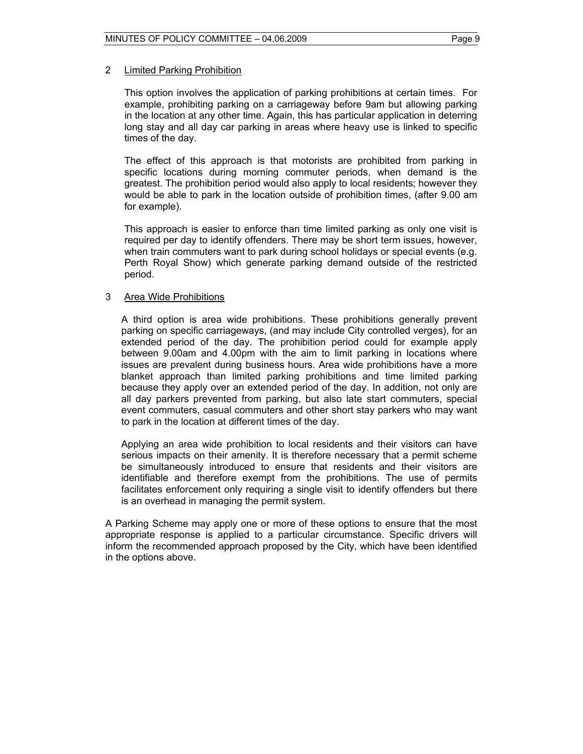#### 2 Limited Parking Prohibition

This option involves the application of parking prohibitions at certain times. For example, prohibiting parking on a carriageway before 9am but allowing parking in the location at any other time. Again, this has particular application in deterring long stay and all day car parking in areas where heavy use is linked to specific times of the day.

The effect of this approach is that motorists are prohibited from parking in specific locations during morning commuter periods, when demand is the greatest. The prohibition period would also apply to local residents; however they would be able to park in the location outside of prohibition times, (after 9.00 am for example).

This approach is easier to enforce than time limited parking as only one visit is required per day to identify offenders. There may be short term issues, however, when train commuters want to park during school holidays or special events (e.g. Perth Royal Show) which generate parking demand outside of the restricted period.

#### 3 Area Wide Prohibitions

A third option is area wide prohibitions. These prohibitions generally prevent parking on specific carriageways, (and may include City controlled verges), for an extended period of the day. The prohibition period could for example apply between 9.00am and 4.00pm with the aim to limit parking in locations where issues are prevalent during business hours. Area wide prohibitions have a more blanket approach than limited parking prohibitions and time limited parking because they apply over an extended period of the day. In addition, not only are all day parkers prevented from parking, but also late start commuters, special event commuters, casual commuters and other short stay parkers who may want to park in the location at different times of the day.

Applying an area wide prohibition to local residents and their visitors can have serious impacts on their amenity. It is therefore necessary that a permit scheme be simultaneously introduced to ensure that residents and their visitors are identifiable and therefore exempt from the prohibitions. The use of permits facilitates enforcement only requiring a single visit to identify offenders but there is an overhead in managing the permit system.

A Parking Scheme may apply one or more of these options to ensure that the most appropriate response is applied to a particular circumstance. Specific drivers will inform the recommended approach proposed by the City, which have been identified in the options above.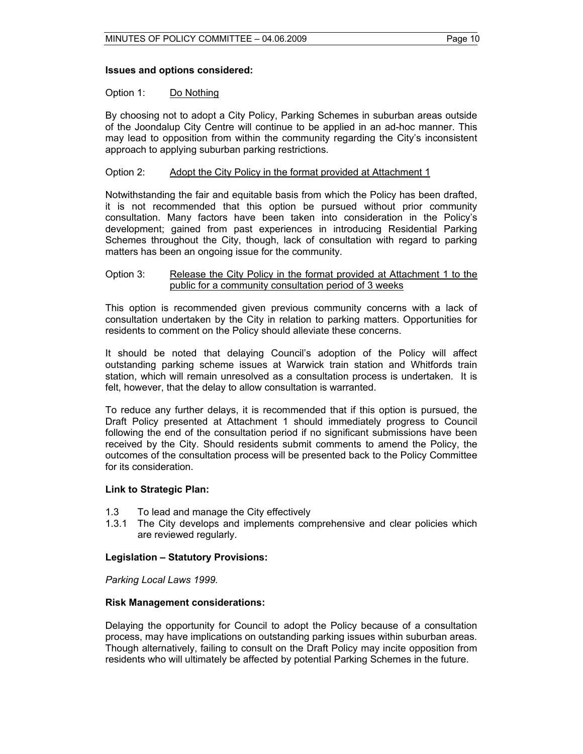#### **Issues and options considered:**

#### Option 1: Do Nothing

By choosing not to adopt a City Policy, Parking Schemes in suburban areas outside of the Joondalup City Centre will continue to be applied in an ad-hoc manner. This may lead to opposition from within the community regarding the City's inconsistent approach to applying suburban parking restrictions.

#### Option 2: Adopt the City Policy in the format provided at Attachment 1

Notwithstanding the fair and equitable basis from which the Policy has been drafted, it is not recommended that this option be pursued without prior community consultation. Many factors have been taken into consideration in the Policy's development; gained from past experiences in introducing Residential Parking Schemes throughout the City, though, lack of consultation with regard to parking matters has been an ongoing issue for the community.

#### Option 3: Release the City Policy in the format provided at Attachment 1 to the public for a community consultation period of 3 weeks

This option is recommended given previous community concerns with a lack of consultation undertaken by the City in relation to parking matters. Opportunities for residents to comment on the Policy should alleviate these concerns.

It should be noted that delaying Council's adoption of the Policy will affect outstanding parking scheme issues at Warwick train station and Whitfords train station, which will remain unresolved as a consultation process is undertaken. It is felt, however, that the delay to allow consultation is warranted.

To reduce any further delays, it is recommended that if this option is pursued, the Draft Policy presented at Attachment 1 should immediately progress to Council following the end of the consultation period if no significant submissions have been received by the City. Should residents submit comments to amend the Policy, the outcomes of the consultation process will be presented back to the Policy Committee for its consideration.

#### **Link to Strategic Plan:**

- 1.3 To lead and manage the City effectively
- 1.3.1 The City develops and implements comprehensive and clear policies which are reviewed regularly.

#### **Legislation – Statutory Provisions:**

*Parking Local Laws 1999.* 

#### **Risk Management considerations:**

Delaying the opportunity for Council to adopt the Policy because of a consultation process, may have implications on outstanding parking issues within suburban areas. Though alternatively, failing to consult on the Draft Policy may incite opposition from residents who will ultimately be affected by potential Parking Schemes in the future.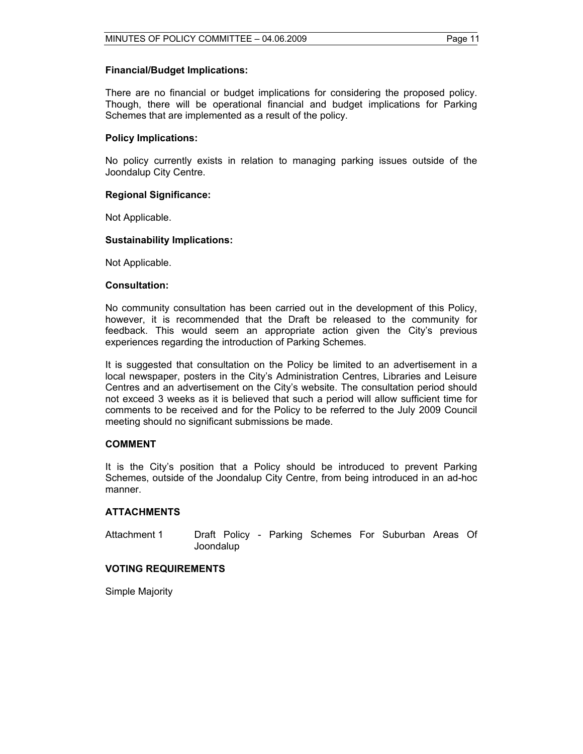#### **Financial/Budget Implications:**

There are no financial or budget implications for considering the proposed policy. Though, there will be operational financial and budget implications for Parking Schemes that are implemented as a result of the policy.

#### **Policy Implications:**

No policy currently exists in relation to managing parking issues outside of the Joondalup City Centre.

#### **Regional Significance:**

Not Applicable.

#### **Sustainability Implications:**

Not Applicable.

#### **Consultation:**

No community consultation has been carried out in the development of this Policy, however, it is recommended that the Draft be released to the community for feedback. This would seem an appropriate action given the City's previous experiences regarding the introduction of Parking Schemes.

It is suggested that consultation on the Policy be limited to an advertisement in a local newspaper, posters in the City's Administration Centres, Libraries and Leisure Centres and an advertisement on the City's website. The consultation period should not exceed 3 weeks as it is believed that such a period will allow sufficient time for comments to be received and for the Policy to be referred to the July 2009 Council meeting should no significant submissions be made.

#### **COMMENT**

It is the City's position that a Policy should be introduced to prevent Parking Schemes, outside of the Joondalup City Centre, from being introduced in an ad-hoc manner.

#### **ATTACHMENTS**

Attachment 1 Draft Policy - Parking Schemes For Suburban Areas Of Joondalup

#### **VOTING REQUIREMENTS**

Simple Majority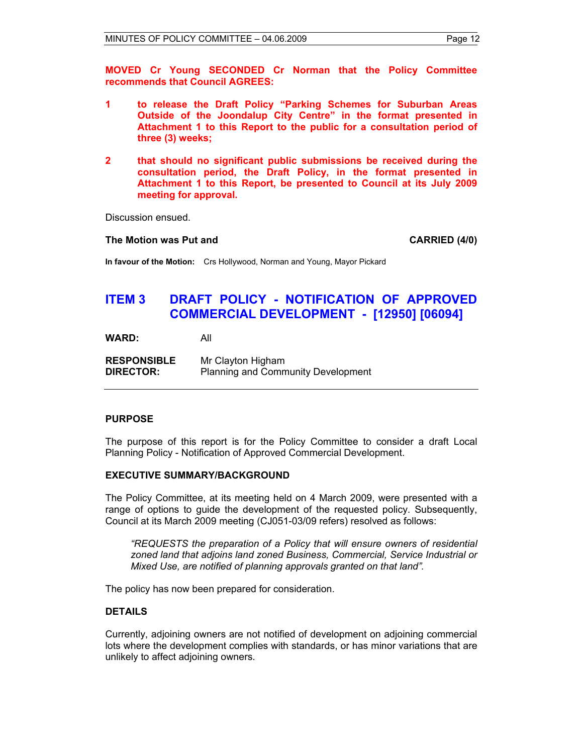**MOVED Cr Young SECONDED Cr Norman that the Policy Committee recommends that Council AGREES:** 

- **1 to release the Draft Policy "Parking Schemes for Suburban Areas Outside of the Joondalup City Centre" in the format presented in Attachment 1 to this Report to the public for a consultation period of three (3) weeks;**
- **2 that should no significant public submissions be received during the consultation period, the Draft Policy, in the format presented in Attachment 1 to this Report, be presented to Council at its July 2009 meeting for approval.**

Discussion ensued.

#### **The Motion was Put and CARRIED (4/0) CARRIED (4/0)**

**In favour of the Motion:** Crs Hollywood, Norman and Young, Mayor Pickard

# **ITEM 3 DRAFT POLICY - NOTIFICATION OF APPROVED COMMERCIAL DEVELOPMENT - [12950] [06094]**

**WARD:** All

**RESPONSIBLE** Mr Clayton Higham **DIRECTOR:** Planning and Community Development

#### **PURPOSE**

The purpose of this report is for the Policy Committee to consider a draft Local Planning Policy - Notification of Approved Commercial Development.

#### **EXECUTIVE SUMMARY/BACKGROUND**

The Policy Committee, at its meeting held on 4 March 2009, were presented with a range of options to guide the development of the requested policy. Subsequently, Council at its March 2009 meeting (CJ051-03/09 refers) resolved as follows:

*"REQUESTS the preparation of a Policy that will ensure owners of residential zoned land that adjoins land zoned Business, Commercial, Service Industrial or Mixed Use, are notified of planning approvals granted on that land".* 

The policy has now been prepared for consideration.

#### **DETAILS**

Currently, adjoining owners are not notified of development on adjoining commercial lots where the development complies with standards, or has minor variations that are unlikely to affect adjoining owners.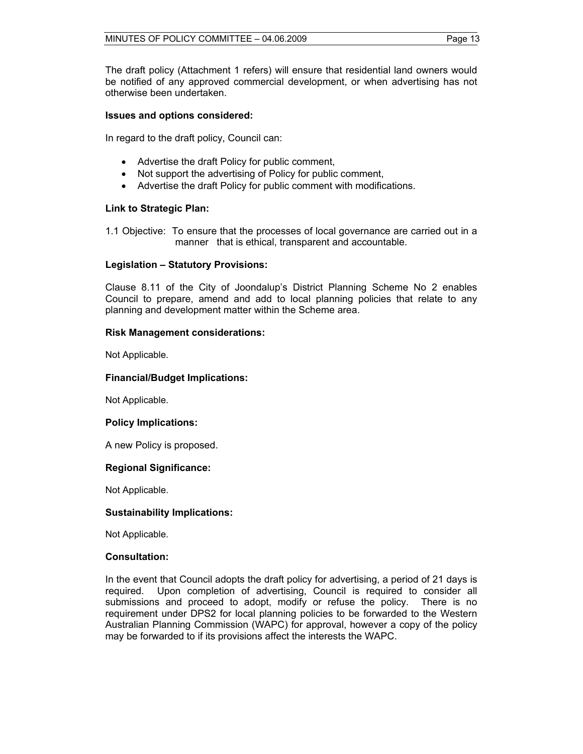The draft policy (Attachment 1 refers) will ensure that residential land owners would be notified of any approved commercial development, or when advertising has not otherwise been undertaken.

#### **Issues and options considered:**

In regard to the draft policy, Council can:

- Advertise the draft Policy for public comment,
- Not support the advertising of Policy for public comment,
- Advertise the draft Policy for public comment with modifications.

#### **Link to Strategic Plan:**

1.1 Objective: To ensure that the processes of local governance are carried out in a manner that is ethical, transparent and accountable.

#### **Legislation – Statutory Provisions:**

Clause 8.11 of the City of Joondalup's District Planning Scheme No 2 enables Council to prepare, amend and add to local planning policies that relate to any planning and development matter within the Scheme area.

#### **Risk Management considerations:**

Not Applicable.

#### **Financial/Budget Implications:**

Not Applicable.

#### **Policy Implications:**

A new Policy is proposed.

#### **Regional Significance:**

Not Applicable.

#### **Sustainability Implications:**

Not Applicable.

#### **Consultation:**

In the event that Council adopts the draft policy for advertising, a period of 21 days is required. Upon completion of advertising, Council is required to consider all submissions and proceed to adopt, modify or refuse the policy. There is no requirement under DPS2 for local planning policies to be forwarded to the Western Australian Planning Commission (WAPC) for approval, however a copy of the policy may be forwarded to if its provisions affect the interests the WAPC.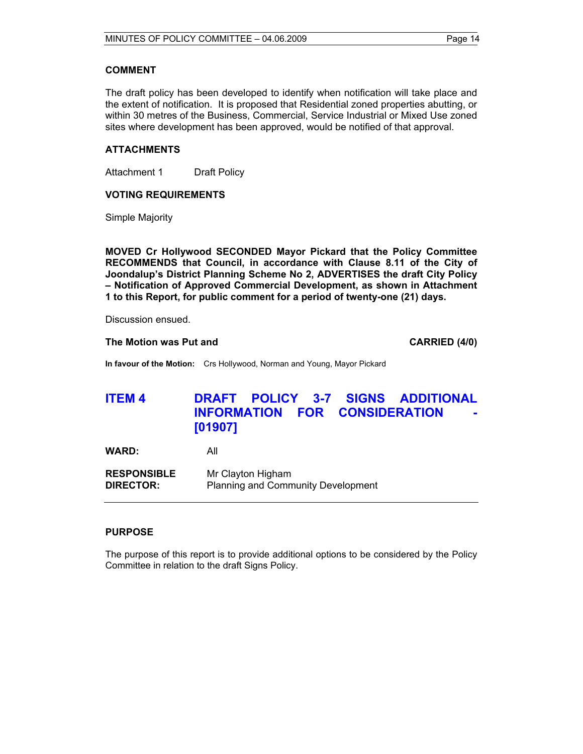#### **COMMENT**

The draft policy has been developed to identify when notification will take place and the extent of notification. It is proposed that Residential zoned properties abutting, or within 30 metres of the Business, Commercial, Service Industrial or Mixed Use zoned sites where development has been approved, would be notified of that approval.

#### **ATTACHMENTS**

Attachment 1 Draft Policy

#### **VOTING REQUIREMENTS**

Simple Majority

**MOVED Cr Hollywood SECONDED Mayor Pickard that the Policy Committee RECOMMENDS that Council, in accordance with Clause 8.11 of the City of Joondalup's District Planning Scheme No 2, ADVERTISES the draft City Policy – Notification of Approved Commercial Development, as shown in Attachment 1 to this Report, for public comment for a period of twenty-one (21) days.** 

Discussion ensued.

#### **The Motion was Put and CARRIED (4/0) CARRIED (4/0)**

**In favour of the Motion:** Crs Hollywood, Norman and Young, Mayor Pickard

# **ITEM 4 DRAFT POLICY 3-7 SIGNS ADDITIONAL INFORMATION FOR CONSIDERATION [01907]**

**WARD:** All

**RESPONSIBLE** Mr Clayton Higham **DIRECTOR:** Planning and Community Development

#### **PURPOSE**

The purpose of this report is to provide additional options to be considered by the Policy Committee in relation to the draft Signs Policy.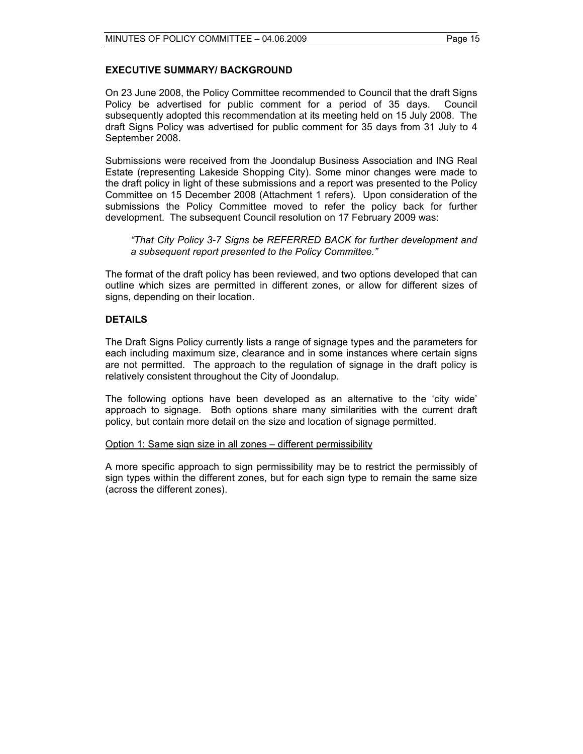#### **EXECUTIVE SUMMARY/ BACKGROUND**

On 23 June 2008, the Policy Committee recommended to Council that the draft Signs Policy be advertised for public comment for a period of 35 days. Council subsequently adopted this recommendation at its meeting held on 15 July 2008. The draft Signs Policy was advertised for public comment for 35 days from 31 July to 4 September 2008.

Submissions were received from the Joondalup Business Association and ING Real Estate (representing Lakeside Shopping City). Some minor changes were made to the draft policy in light of these submissions and a report was presented to the Policy Committee on 15 December 2008 (Attachment 1 refers). Upon consideration of the submissions the Policy Committee moved to refer the policy back for further development. The subsequent Council resolution on 17 February 2009 was:

*"That City Policy 3-7 Signs be REFERRED BACK for further development and a subsequent report presented to the Policy Committee."* 

The format of the draft policy has been reviewed, and two options developed that can outline which sizes are permitted in different zones, or allow for different sizes of signs, depending on their location.

#### **DETAILS**

The Draft Signs Policy currently lists a range of signage types and the parameters for each including maximum size, clearance and in some instances where certain signs are not permitted. The approach to the regulation of signage in the draft policy is relatively consistent throughout the City of Joondalup.

The following options have been developed as an alternative to the 'city wide' approach to signage. Both options share many similarities with the current draft policy, but contain more detail on the size and location of signage permitted.

#### Option 1: Same sign size in all zones – different permissibility

A more specific approach to sign permissibility may be to restrict the permissibly of sign types within the different zones, but for each sign type to remain the same size (across the different zones).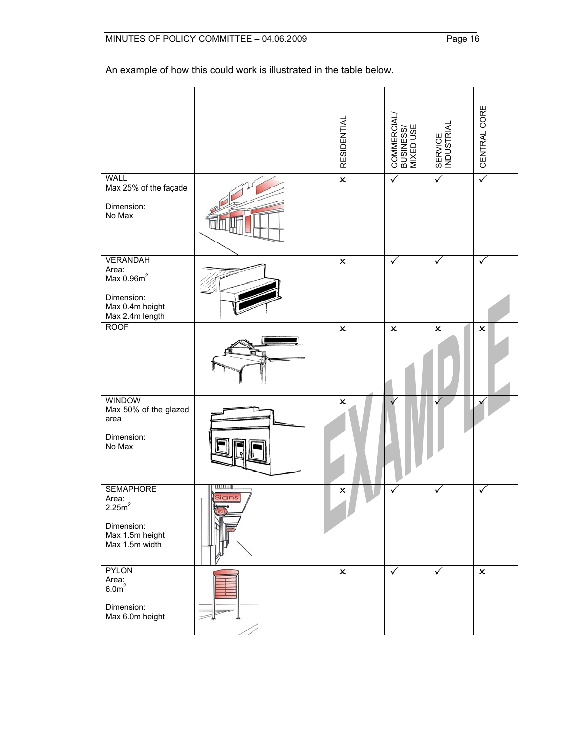An example of how this could work is illustrated in the table below.

|                                                                                                        |      | <b>RESIDENTIAL</b> | COMMERCIAL/<br>BUSINESS/<br>MIXED USE | SERVICE<br>INDUSTRIAL | CENTRAL CORE   |
|--------------------------------------------------------------------------------------------------------|------|--------------------|---------------------------------------|-----------------------|----------------|
| <b>WALL</b><br>Max 25% of the façade<br>Dimension:<br>No Max                                           |      | $\pmb{\times}$     | $\checkmark$                          | $\checkmark$          | $\sqrt{}$      |
| <b>VERANDAH</b><br>Area:<br>Max 0.96m <sup>2</sup><br>Dimension:<br>Max 0.4m height<br>Max 2.4m length |      | $\pmb{\times}$     | ✓                                     | ✓                     | ✓              |
| <b>ROOF</b>                                                                                            |      | $\pmb{\times}$     | $\pmb{\times}$                        | $\pmb{\times}$        | $\pmb{\times}$ |
| <b>WINDOW</b><br>Max 50% of the glazed<br>area<br>Dimension:<br>No Max                                 |      | $\pmb{\times}$     |                                       |                       |                |
| <b>SEMAPHORE</b><br>Area:<br>2.25m <sup>2</sup><br>Dimension:<br>Max 1.5m height<br>Max 1.5m width     | ians | $\pmb{\times}$     |                                       | ✓                     | ✓              |
| <b>PYLON</b><br>Area:<br>6.0 <sup>m²</sup><br>Dimension:<br>Max 6.0m height                            |      | $\pmb{\times}$     | ✓                                     | $\checkmark$          | $\pmb{\times}$ |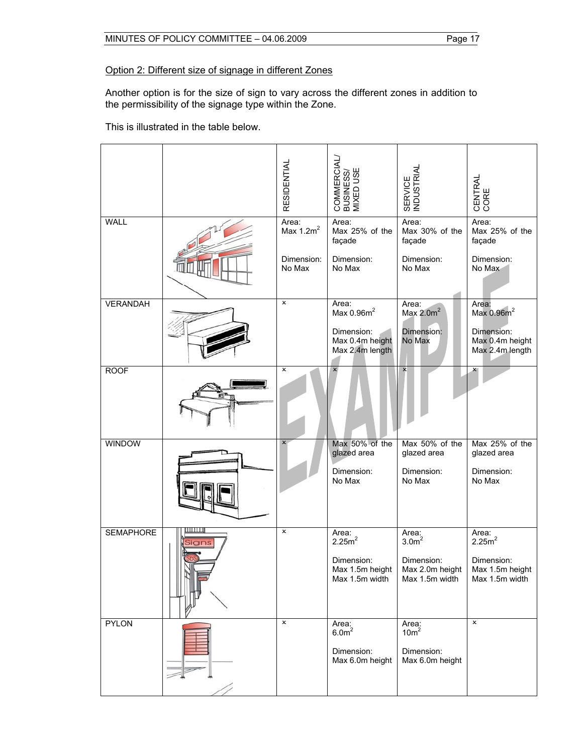## Option 2: Different size of signage in different Zones

Another option is for the size of sign to vary across the different zones in addition to the permissibility of the signage type within the Zone.

This is illustrated in the table below.

|                  |                   | <b>RESIDENTIAL</b>                            | COMMERCIAL/<br>BUSINESS/<br>MIXED USE                                          | SERVICE<br>INDUSTRIAL                                            | CENTRAL<br>CORE                                                                     |
|------------------|-------------------|-----------------------------------------------|--------------------------------------------------------------------------------|------------------------------------------------------------------|-------------------------------------------------------------------------------------|
| <b>WALL</b>      |                   | Area:<br>Max $1.2m^2$<br>Dimension:<br>No Max | Area:<br>Max 25% of the<br>façade<br>Dimension:<br>No Max                      | Area:<br>Max 30% of the<br>façade<br>Dimension:<br>No Max        | Area:<br>Max 25% of the<br>façade<br>Dimension:<br>No Max                           |
| <b>VERANDAH</b>  |                   | $\pmb{\times}$                                | Area:<br>Max $0.96m^2$<br>Dimension:<br>Max 0.4m height<br>Max 2.4m length     | Area:<br>Max $2.0m^2$<br>Dimension:<br>No Max                    | Area:<br>Max 0.96m <sup>2</sup><br>Dimension:<br>Max 0.4m height<br>Max 2.4m length |
| <b>ROOF</b>      |                   | $\pmb{\times}$                                | ×                                                                              | $\boldsymbol{\mathsf{x}}$                                        |                                                                                     |
| <b>WINDOW</b>    |                   | $\boldsymbol{\mathsf{x}}$                     | Max 50% of the<br>glazed area<br>Dimension:<br>No Max                          | Max 50% of the<br>glazed area<br>Dimension:<br>No Max            | Max 25% of the<br>glazed area<br>Dimension:<br>No Max                               |
| <b>SEMAPHORE</b> | .<br><b>Signs</b> | $\pmb{\times}$                                | Area:<br>2.25m <sup>2</sup><br>Dimension:<br>Max 1.5m height<br>Max 1.5m width | Area: $3.0m2$<br>Dimension:<br>Max 2.0m height<br>Max 1.5m width | Area: $2.25m2$<br>Dimension:<br>Max 1.5m height<br>Max 1.5m width                   |
| <b>PYLON</b>     |                   | $\pmb{\times}$                                | Area:<br>6.0 <sup>m²</sup><br>Dimension:<br>Max 6.0m height                    | Area:<br>10m <sup>2</sup><br>Dimension:<br>Max 6.0m height       | $\overline{\mathbf{x}}$                                                             |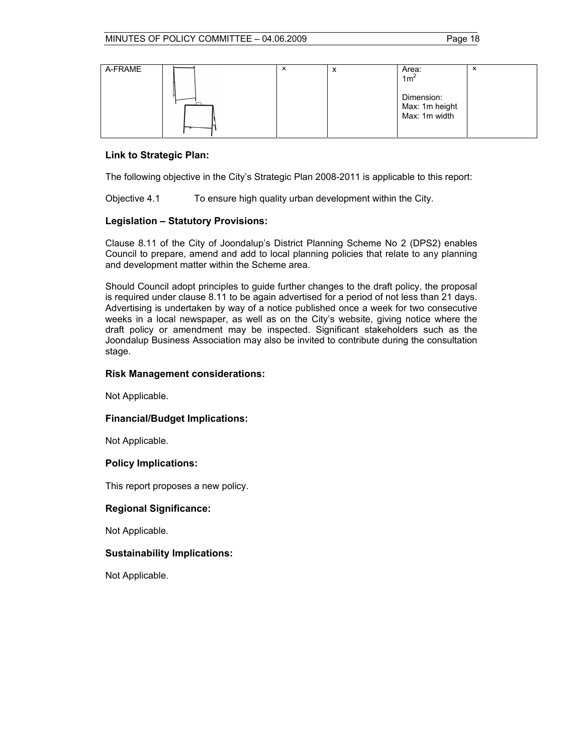| A-FRAME | × | ́ | Area:<br>1m <sup>2</sup>                      | ᆺ |
|---------|---|---|-----------------------------------------------|---|
|         |   |   | Dimension:<br>Max: 1m height<br>Max: 1m width |   |

#### **Link to Strategic Plan:**

The following objective in the City's Strategic Plan 2008-2011 is applicable to this report:

Objective 4.1 To ensure high quality urban development within the City.

#### **Legislation – Statutory Provisions:**

Clause 8.11 of the City of Joondalup's District Planning Scheme No 2 (DPS2) enables Council to prepare, amend and add to local planning policies that relate to any planning and development matter within the Scheme area.

Should Council adopt principles to guide further changes to the draft policy, the proposal is required under clause 8.11 to be again advertised for a period of not less than 21 days. Advertising is undertaken by way of a notice published once a week for two consecutive weeks in a local newspaper, as well as on the City's website, giving notice where the draft policy or amendment may be inspected. Significant stakeholders such as the Joondalup Business Association may also be invited to contribute during the consultation stage.

#### **Risk Management considerations:**

Not Applicable.

#### **Financial/Budget Implications:**

Not Applicable.

#### **Policy Implications:**

This report proposes a new policy.

#### **Regional Significance:**

Not Applicable.

#### **Sustainability Implications:**

Not Applicable.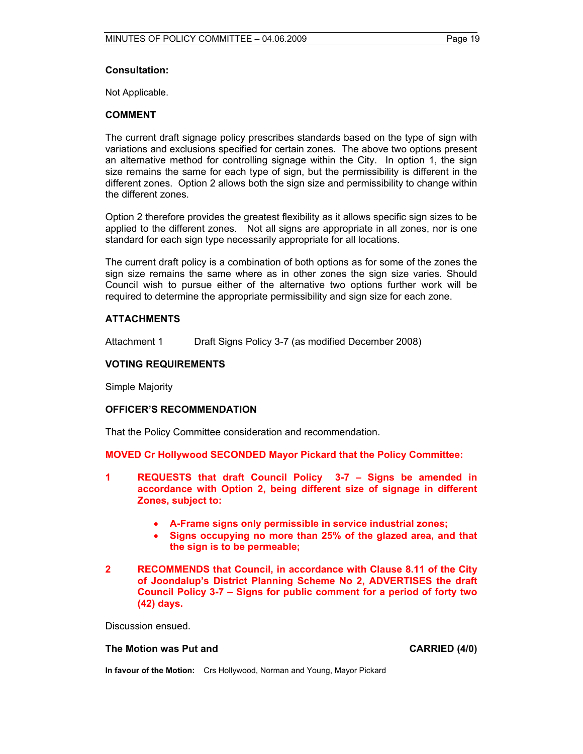#### **Consultation:**

Not Applicable.

#### **COMMENT**

The current draft signage policy prescribes standards based on the type of sign with variations and exclusions specified for certain zones. The above two options present an alternative method for controlling signage within the City. In option 1, the sign size remains the same for each type of sign, but the permissibility is different in the different zones. Option 2 allows both the sign size and permissibility to change within the different zones.

Option 2 therefore provides the greatest flexibility as it allows specific sign sizes to be applied to the different zones. Not all signs are appropriate in all zones, nor is one standard for each sign type necessarily appropriate for all locations.

The current draft policy is a combination of both options as for some of the zones the sign size remains the same where as in other zones the sign size varies. Should Council wish to pursue either of the alternative two options further work will be required to determine the appropriate permissibility and sign size for each zone.

#### **ATTACHMENTS**

Attachment 1 Draft Signs Policy 3-7 (as modified December 2008)

#### **VOTING REQUIREMENTS**

Simple Majority

#### **OFFICER'S RECOMMENDATION**

That the Policy Committee consideration and recommendation.

**MOVED Cr Hollywood SECONDED Mayor Pickard that the Policy Committee:** 

- **1 REQUESTS that draft Council Policy 3-7 Signs be amended in accordance with Option 2, being different size of signage in different Zones, subject to:** 
	- **A-Frame signs only permissible in service industrial zones;**
	- **Signs occupying no more than 25% of the glazed area, and that the sign is to be permeable;**

#### **2 RECOMMENDS that Council, in accordance with Clause 8.11 of the City of Joondalup's District Planning Scheme No 2, ADVERTISES the draft Council Policy 3-7 – Signs for public comment for a period of forty two (42) days.**

Discussion ensued.

#### The Motion was Put and **CARRIED** (4/0)

**In favour of the Motion:** Crs Hollywood, Norman and Young, Mayor Pickard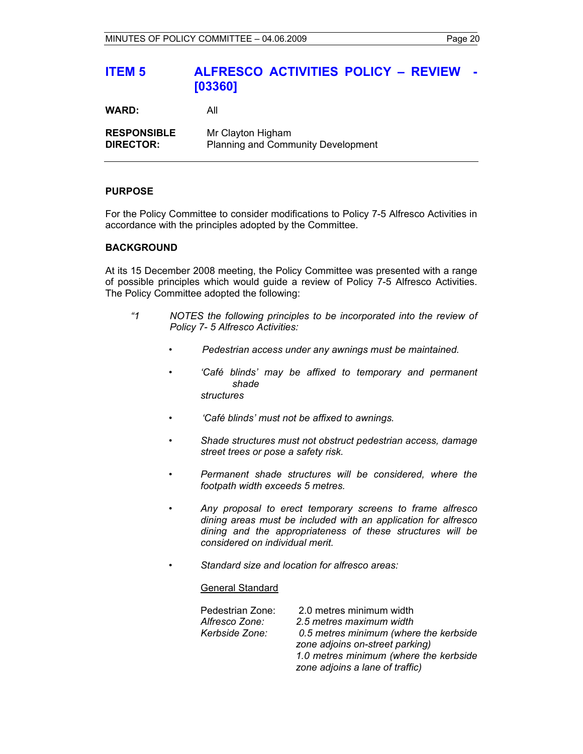# **ITEM 5 ALFRESCO ACTIVITIES POLICY – REVIEW - [03360]**

**WARD:** All

**RESPONSIBLE** Mr Clayton Higham **DIRECTOR:** Planning and Community Development

### **PURPOSE**

For the Policy Committee to consider modifications to Policy 7-5 Alfresco Activities in accordance with the principles adopted by the Committee.

#### **BACKGROUND**

At its 15 December 2008 meeting, the Policy Committee was presented with a range of possible principles which would guide a review of Policy 7-5 Alfresco Activities. The Policy Committee adopted the following:

- *"1 NOTES the following principles to be incorporated into the review of Policy 7- 5 Alfresco Activities:* 
	- *Pedestrian access under any awnings must be maintained.*
	- *'Café blinds' may be affixed to temporary and permanent shade structures*
	- *'Café blinds' must not be affixed to awnings.*
	- *Shade structures must not obstruct pedestrian access, damage street trees or pose a safety risk.*
	- *Permanent shade structures will be considered, where the footpath width exceeds 5 metres.*
	- *Any proposal to erect temporary screens to frame alfresco dining areas must be included with an application for alfresco dining and the appropriateness of these structures will be considered on individual merit.*
	- *Standard size and location for alfresco areas:*

#### General Standard

| Pedestrian Zone: | 2.0 metres minimum width                                                  |
|------------------|---------------------------------------------------------------------------|
| Alfresco Zone:   | 2.5 metres maximum width                                                  |
| Kerbside Zone:   | 0.5 metres minimum (where the kerbside<br>zone adjoins on-street parking) |
|                  | 1.0 metres minimum (where the kerbside                                    |
|                  | zone adjoins a lane of traffic)                                           |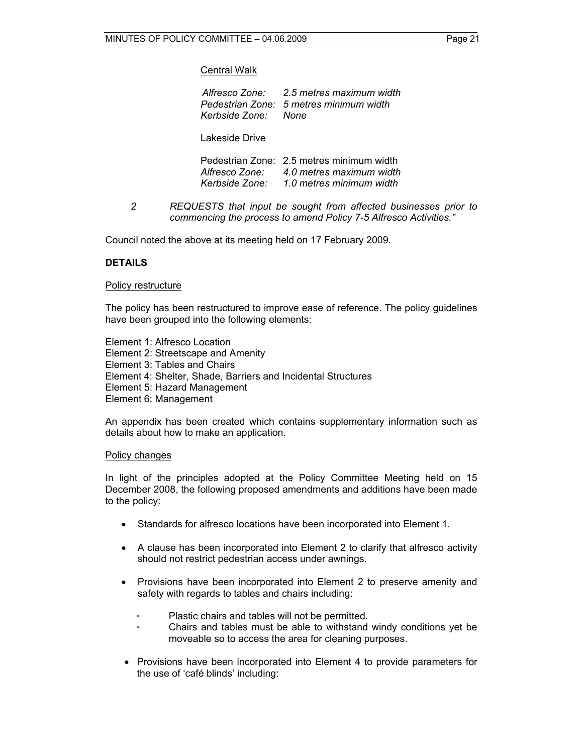#### Central Walk

|   | Alfresco Zone: 2.5 metres maximum width<br>Pedestrian Zone: 5 metres minimum width<br>Kerbside Zone:<br>None                    |
|---|---------------------------------------------------------------------------------------------------------------------------------|
|   | Lakeside Drive                                                                                                                  |
|   | Pedestrian Zone: 2.5 metres minimum width<br>Alfresco Zone: 4.0 metres maximum width<br>Kerbside Zone: 1.0 metres minimum width |
| 2 | REQUESTS that input be sought from affected businesses prior to                                                                 |

*commencing the process to amend Policy 7-5 Alfresco Activities."* 

Council noted the above at its meeting held on 17 February 2009.

#### **DETAILS**

#### Policy restructure

The policy has been restructured to improve ease of reference. The policy guidelines have been grouped into the following elements:

Element 1: Alfresco Location Element 2: Streetscape and Amenity Element 3: Tables and Chairs Element 4: Shelter, Shade, Barriers and Incidental Structures Element 5: Hazard Management Element 6: Management

An appendix has been created which contains supplementary information such as details about how to make an application.

#### Policy changes

In light of the principles adopted at the Policy Committee Meeting held on 15 December 2008, the following proposed amendments and additions have been made to the policy:

- Standards for alfresco locations have been incorporated into Element 1.
- A clause has been incorporated into Element 2 to clarify that alfresco activity should not restrict pedestrian access under awnings.
- Provisions have been incorporated into Element 2 to preserve amenity and safety with regards to tables and chairs including:
	- Plastic chairs and tables will not be permitted.<br>- Chairs and tables must be able to withstand
	- Chairs and tables must be able to withstand windy conditions yet be moveable so to access the area for cleaning purposes.
- Provisions have been incorporated into Element 4 to provide parameters for the use of 'café blinds' including: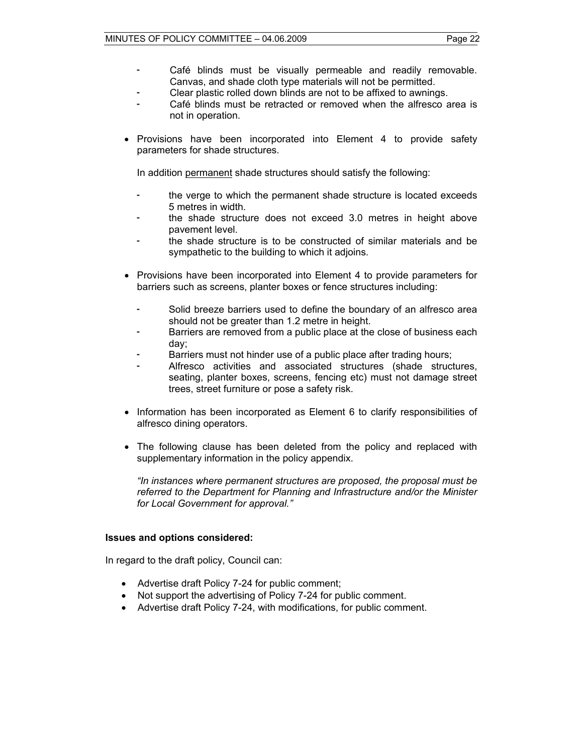- Café blinds must be visually permeable and readily removable. Canvas, and shade cloth type materials will not be permitted.
- Clear plastic rolled down blinds are not to be affixed to awnings.
- Café blinds must be retracted or removed when the alfresco area is not in operation.
- Provisions have been incorporated into Element 4 to provide safety parameters for shade structures.

In addition permanent shade structures should satisfy the following:

- the verge to which the permanent shade structure is located exceeds 5 metres in width.
- the shade structure does not exceed 3.0 metres in height above pavement level.
- the shade structure is to be constructed of similar materials and be sympathetic to the building to which it adjoins.
- Provisions have been incorporated into Element 4 to provide parameters for barriers such as screens, planter boxes or fence structures including:
	- Solid breeze barriers used to define the boundary of an alfresco area should not be greater than 1.2 metre in height.
	- Barriers are removed from a public place at the close of business each day;
	- Barriers must not hinder use of a public place after trading hours;
	- Alfresco activities and associated structures (shade structures, seating, planter boxes, screens, fencing etc) must not damage street trees, street furniture or pose a safety risk.
- Information has been incorporated as Element 6 to clarify responsibilities of alfresco dining operators.
- The following clause has been deleted from the policy and replaced with supplementary information in the policy appendix.

*"In instances where permanent structures are proposed, the proposal must be referred to the Department for Planning and Infrastructure and/or the Minister for Local Government for approval."* 

#### **Issues and options considered:**

In regard to the draft policy, Council can:

- Advertise draft Policy 7-24 for public comment;
- Not support the advertising of Policy 7-24 for public comment.
- Advertise draft Policy 7-24, with modifications, for public comment.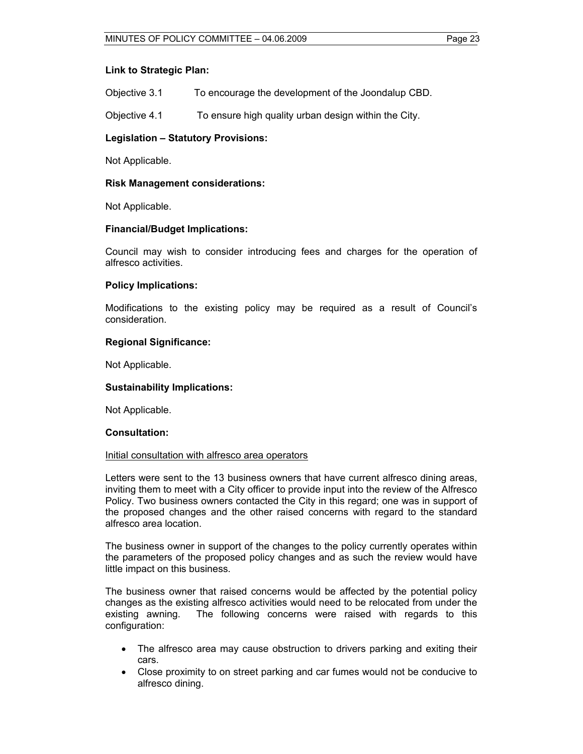#### **Link to Strategic Plan:**

Objective 3.1 To encourage the development of the Joondalup CBD.

Objective 4.1 To ensure high quality urban design within the City.

#### **Legislation – Statutory Provisions:**

Not Applicable.

#### **Risk Management considerations:**

Not Applicable.

#### **Financial/Budget Implications:**

Council may wish to consider introducing fees and charges for the operation of alfresco activities.

#### **Policy Implications:**

Modifications to the existing policy may be required as a result of Council's consideration.

#### **Regional Significance:**

Not Applicable.

#### **Sustainability Implications:**

Not Applicable.

#### **Consultation:**

#### Initial consultation with alfresco area operators

Letters were sent to the 13 business owners that have current alfresco dining areas, inviting them to meet with a City officer to provide input into the review of the Alfresco Policy. Two business owners contacted the City in this regard; one was in support of the proposed changes and the other raised concerns with regard to the standard alfresco area location.

The business owner in support of the changes to the policy currently operates within the parameters of the proposed policy changes and as such the review would have little impact on this business.

The business owner that raised concerns would be affected by the potential policy changes as the existing alfresco activities would need to be relocated from under the existing awning. The following concerns were raised with regards to this configuration:

- The alfresco area may cause obstruction to drivers parking and exiting their cars.
- Close proximity to on street parking and car fumes would not be conducive to alfresco dining.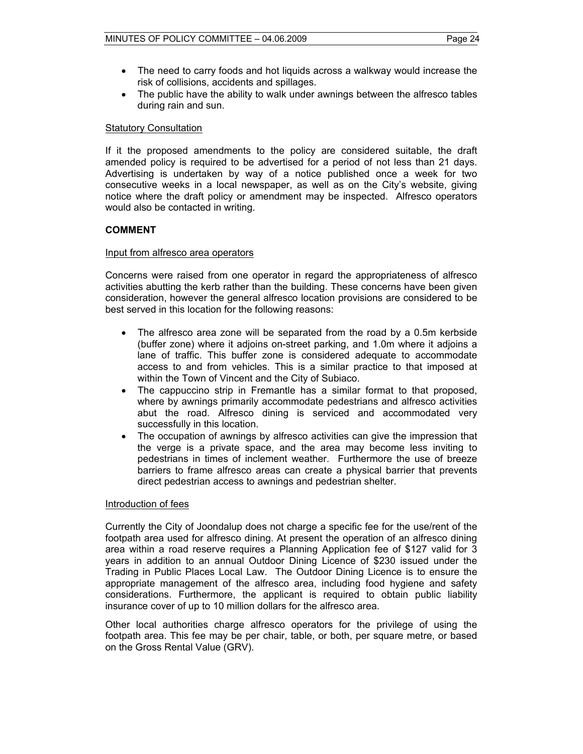- The need to carry foods and hot liquids across a walkway would increase the risk of collisions, accidents and spillages.
- The public have the ability to walk under awnings between the alfresco tables during rain and sun.

#### Statutory Consultation

If it the proposed amendments to the policy are considered suitable, the draft amended policy is required to be advertised for a period of not less than 21 days. Advertising is undertaken by way of a notice published once a week for two consecutive weeks in a local newspaper, as well as on the City's website, giving notice where the draft policy or amendment may be inspected. Alfresco operators would also be contacted in writing.

#### **COMMENT**

#### Input from alfresco area operators

Concerns were raised from one operator in regard the appropriateness of alfresco activities abutting the kerb rather than the building. These concerns have been given consideration, however the general alfresco location provisions are considered to be best served in this location for the following reasons:

- The alfresco area zone will be separated from the road by a 0.5m kerbside (buffer zone) where it adjoins on-street parking, and 1.0m where it adjoins a lane of traffic. This buffer zone is considered adequate to accommodate access to and from vehicles. This is a similar practice to that imposed at within the Town of Vincent and the City of Subiaco.
- The cappuccino strip in Fremantle has a similar format to that proposed, where by awnings primarily accommodate pedestrians and alfresco activities abut the road. Alfresco dining is serviced and accommodated very successfully in this location.
- The occupation of awnings by alfresco activities can give the impression that the verge is a private space, and the area may become less inviting to pedestrians in times of inclement weather. Furthermore the use of breeze barriers to frame alfresco areas can create a physical barrier that prevents direct pedestrian access to awnings and pedestrian shelter.

#### Introduction of fees

Currently the City of Joondalup does not charge a specific fee for the use/rent of the footpath area used for alfresco dining. At present the operation of an alfresco dining area within a road reserve requires a Planning Application fee of \$127 valid for 3 years in addition to an annual Outdoor Dining Licence of \$230 issued under the Trading in Public Places Local Law. The Outdoor Dining Licence is to ensure the appropriate management of the alfresco area, including food hygiene and safety considerations. Furthermore, the applicant is required to obtain public liability insurance cover of up to 10 million dollars for the alfresco area.

Other local authorities charge alfresco operators for the privilege of using the footpath area. This fee may be per chair, table, or both, per square metre, or based on the Gross Rental Value (GRV).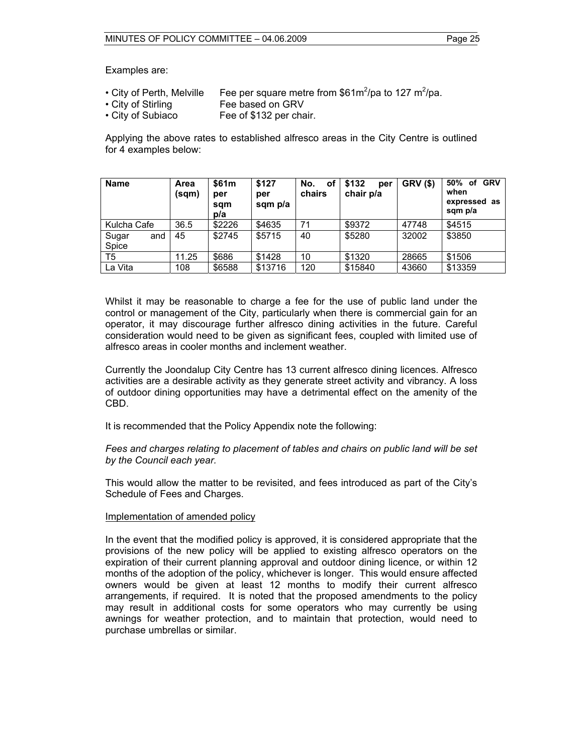Examples are:

- City of Perth, Melville Fee per square metre from \$61m<sup>2</sup>/pa to 127 m<sup>2</sup>/pa.
- City of Stirling Fee based on GRV
- City of Subiaco Fee of \$132 per chair.

Applying the above rates to established alfresco areas in the City Centre is outlined for 4 examples below:

| <b>Name</b>           | Area<br>(sqm) | \$61m<br>per<br>sam<br>p/a | \$127<br>per<br>sqm p/a | No.<br>οf<br>chairs | \$132<br>per<br>chair p/a | <b>GRV (\$)</b> | 50%<br>GRV<br>оf<br>when<br>expressed as<br>sqm p/a |
|-----------------------|---------------|----------------------------|-------------------------|---------------------|---------------------------|-----------------|-----------------------------------------------------|
| Kulcha Cafe           | 36.5          | \$2226                     | \$4635                  | 71                  | \$9372                    | 47748           | \$4515                                              |
| Sugar<br>and<br>Spice | 45            | \$2745                     | \$5715                  | 40                  | \$5280                    | 32002           | \$3850                                              |
| T <sub>5</sub>        | 11.25         | \$686                      | \$1428                  | 10                  | \$1320                    | 28665           | \$1506                                              |
| La Vita               | 108           | \$6588                     | \$13716                 | 120                 | \$15840                   | 43660           | \$13359                                             |

Whilst it may be reasonable to charge a fee for the use of public land under the control or management of the City, particularly when there is commercial gain for an operator, it may discourage further alfresco dining activities in the future. Careful consideration would need to be given as significant fees, coupled with limited use of alfresco areas in cooler months and inclement weather.

Currently the Joondalup City Centre has 13 current alfresco dining licences. Alfresco activities are a desirable activity as they generate street activity and vibrancy. A loss of outdoor dining opportunities may have a detrimental effect on the amenity of the CBD.

It is recommended that the Policy Appendix note the following:

*Fees and charges relating to placement of tables and chairs on public land will be set by the Council each year.* 

This would allow the matter to be revisited, and fees introduced as part of the City's Schedule of Fees and Charges.

#### Implementation of amended policy

In the event that the modified policy is approved, it is considered appropriate that the provisions of the new policy will be applied to existing alfresco operators on the expiration of their current planning approval and outdoor dining licence, or within 12 months of the adoption of the policy, whichever is longer. This would ensure affected owners would be given at least 12 months to modify their current alfresco arrangements, if required. It is noted that the proposed amendments to the policy may result in additional costs for some operators who may currently be using awnings for weather protection, and to maintain that protection, would need to purchase umbrellas or similar.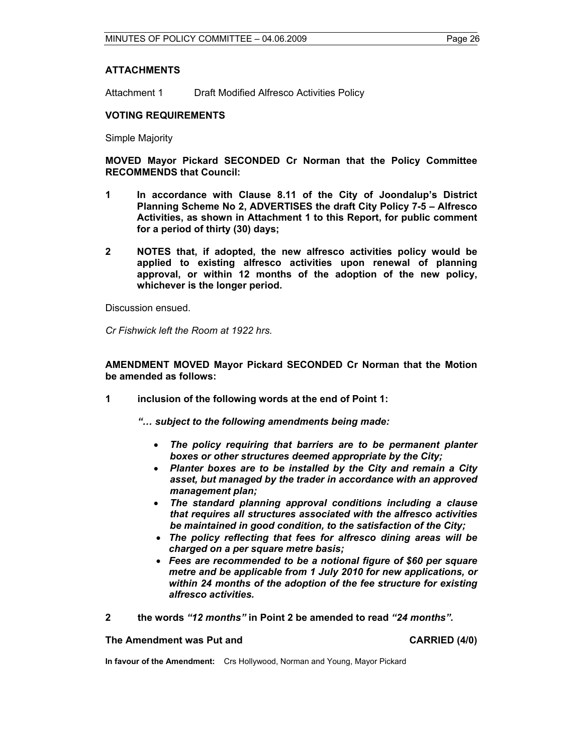### **ATTACHMENTS**

Attachment 1 Draft Modified Alfresco Activities Policy

### **VOTING REQUIREMENTS**

Simple Majority

**MOVED Mayor Pickard SECONDED Cr Norman that the Policy Committee RECOMMENDS that Council:** 

- **1 In accordance with Clause 8.11 of the City of Joondalup's District Planning Scheme No 2, ADVERTISES the draft City Policy 7-5 – Alfresco Activities, as shown in Attachment 1 to this Report, for public comment for a period of thirty (30) days;**
- **2 NOTES that, if adopted, the new alfresco activities policy would be applied to existing alfresco activities upon renewal of planning approval, or within 12 months of the adoption of the new policy, whichever is the longer period.**

Discussion ensued.

*Cr Fishwick left the Room at 1922 hrs.* 

**AMENDMENT MOVED Mayor Pickard SECONDED Cr Norman that the Motion be amended as follows:** 

**1 inclusion of the following words at the end of Point 1:** 

 *"… subject to the following amendments being made:* 

- *The policy requiring that barriers are to be permanent planter boxes or other structures deemed appropriate by the City;*
- *Planter boxes are to be installed by the City and remain a City asset, but managed by the trader in accordance with an approved management plan;*
- *The standard planning approval conditions including a clause that requires all structures associated with the alfresco activities be maintained in good condition, to the satisfaction of the City;*
- *The policy reflecting that fees for alfresco dining areas will be charged on a per square metre basis;*
- *Fees are recommended to be a notional figure of \$60 per square metre and be applicable from 1 July 2010 for new applications, or within 24 months of the adoption of the fee structure for existing alfresco activities.*
- **2 the words** *"12 months"* **in Point 2 be amended to read** *"24 months".*

**The Amendment was Put and CARRIED (4/0) CARRIED (4/0)** 

**In favour of the Amendment:** Crs Hollywood, Norman and Young, Mayor Pickard